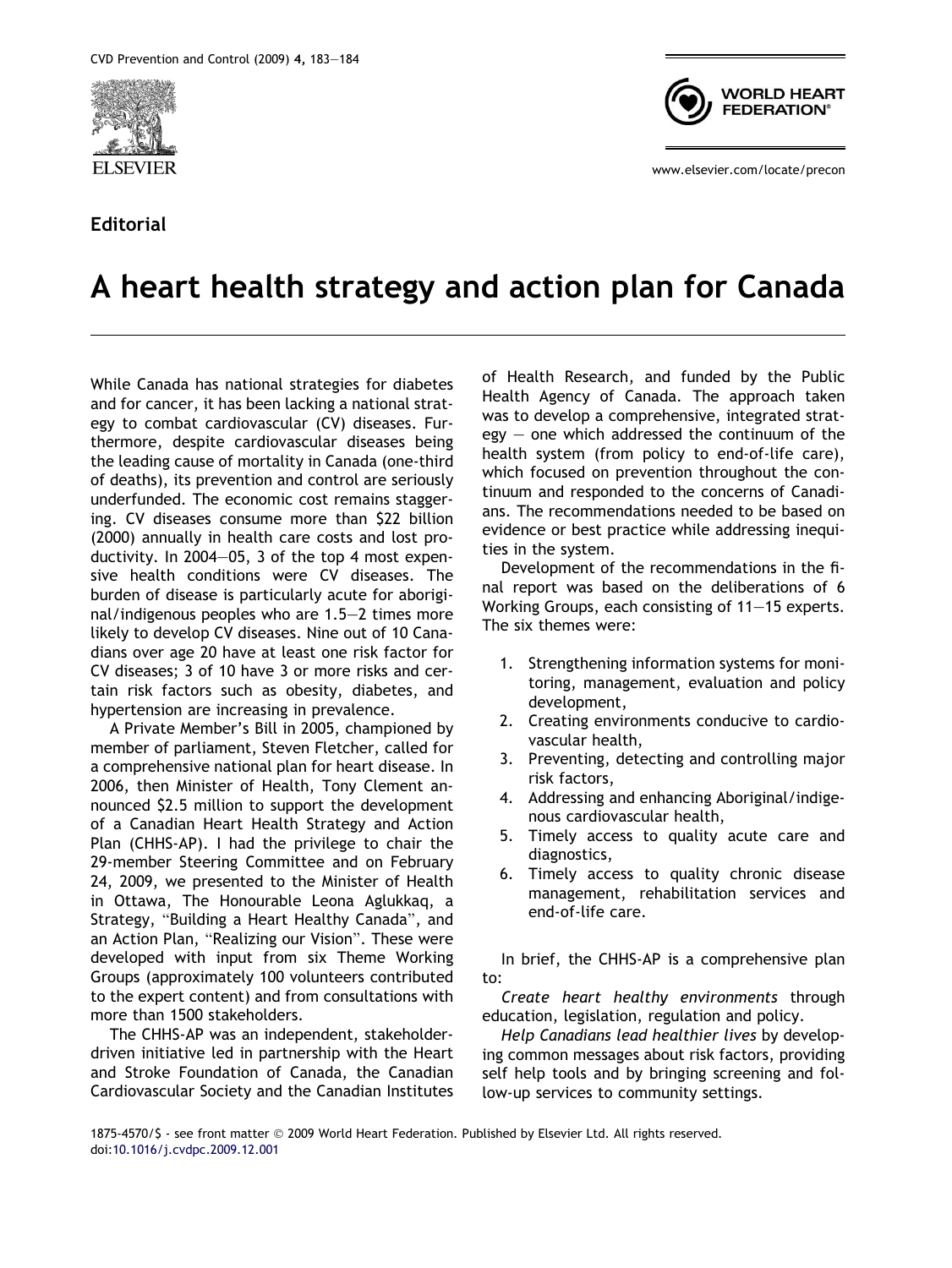

## Editorial



www.elsevier.com/locate/precon

## A heart health strategy and action plan for Canada

While Canada has national strategies for diabetes and for cancer, it has been lacking a national strategy to combat cardiovascular (CV) diseases. Furthermore, despite cardiovascular diseases being the leading cause of mortality in Canada (one-third of deaths), its prevention and control are seriously underfunded. The economic cost remains staggering. CV diseases consume more than \$22 billion (2000) annually in health care costs and lost productivity. In 2004–05, 3 of the top 4 most expensive health conditions were CV diseases. The burden of disease is particularly acute for aboriginal/indigenous peoples who are 1.5–2 times more likely to develop CV diseases. Nine out of 10 Canadians over age 20 have at least one risk factor for CV diseases; 3 of 10 have 3 or more risks and certain risk factors such as obesity, diabetes, and hypertension are increasing in prevalence.

A Private Member's Bill in 2005, championed by member of parliament, Steven Fletcher, called for a comprehensive national plan for heart disease. In 2006, then Minister of Health, Tony Clement announced \$2.5 million to support the development of a Canadian Heart Health Strategy and Action Plan (CHHS-AP). I had the privilege to chair the 29-member Steering Committee and on February 24, 2009, we presented to the Minister of Health in Ottawa, The Honourable Leona Aglukkaq, a Strategy, "Building a Heart Healthy Canada", and an Action Plan, "Realizing our Vision". These were developed with input from six Theme Working Groups (approximately 100 volunteers contributed to the expert content) and from consultations with more than 1500 stakeholders.

The CHHS-AP was an independent, stakeholderdriven initiative led in partnership with the Heart and Stroke Foundation of Canada, the Canadian Cardiovascular Society and the Canadian Institutes of Health Research, and funded by the Public Health Agency of Canada. The approach taken was to develop a comprehensive, integrated strat $e$ gy – one which addressed the continuum of the health system (from policy to end-of-life care), which focused on prevention throughout the continuum and responded to the concerns of Canadians. The recommendations needed to be based on evidence or best practice while addressing inequities in the system.

Development of the recommendations in the final report was based on the deliberations of 6 Working Groups, each consisting of 11–15 experts. The six themes were:

- 1. Strengthening information systems for monitoring, management, evaluation and policy development,
- 2. Creating environments conducive to cardiovascular health,
- 3. Preventing, detecting and controlling major risk factors,
- 4. Addressing and enhancing Aboriginal/indigenous cardiovascular health,
- 5. Timely access to quality acute care and diagnostics,
- 6. Timely access to quality chronic disease management, rehabilitation services and end-of-life care.

In brief, the CHHS-AP is a comprehensive plan to:

Create heart healthy environments through education, legislation, regulation and policy.

Help Canadians lead healthier lives by developing common messages about risk factors, providing self help tools and by bringing screening and follow-up services to community settings.